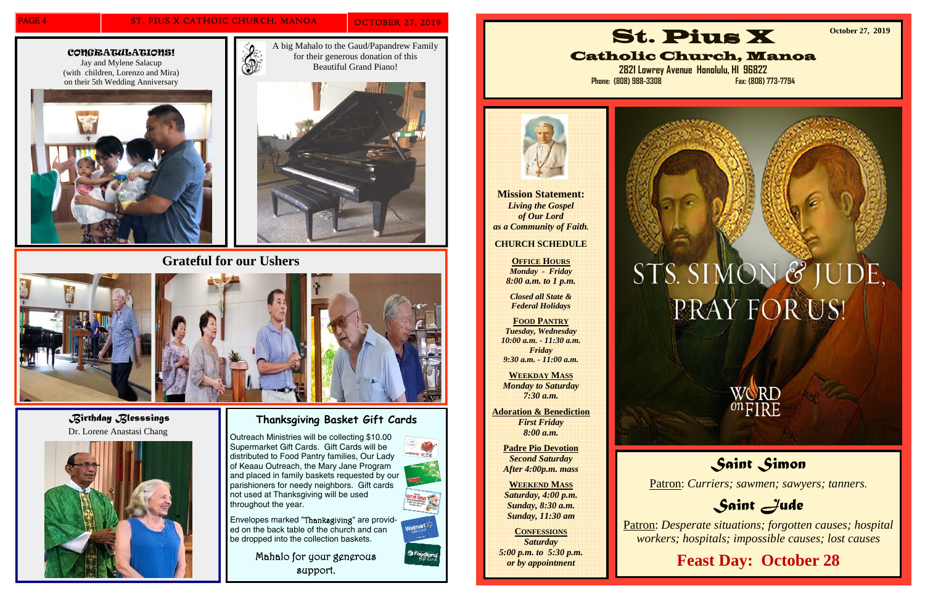#### PAGE 4 ST. PIUS X CATHOIC CHURCH, MANOA OCTOBER 27, 2019

## **Thanksgiving Basket Gift Cards**

Outreach Ministries will be collecting \$10.00 Supermarket Gift Cards. Gift Cards will be distributed to Food Pantry families, Our Lady of Keaau Outreach, the Mary Jane Program and placed in family baskets requested by our parishioners for needy neighbors. Gift cards not used at Thanksgiving will be used throughout the year.



*P* Foodland

Envelopes marked "Thanksgiving" are provided on the back table of the church and can be dropped into the collection baskets.

> Mahalo for your generous support.









**Grateful for our Ushers** 



*Birthday Blesssings*  Dr. Lorene Anastasi Chang



**Mission Statement:**  *Living the Gospel of Our Lord as a Community of Faith.* 

#### **CHURCH SCHEDULE**

**OFFICE HOURS***Monday - Friday 8:00 a.m. to 1 p.m.* 

*Closed all State & Federal Holidays* 

**FOOD PANTRY***Tuesday, Wednesday 10:00 a.m. - 11:30 a.m. Friday 9:30 a.m. - 11:00 a.m.* 

**WEEKDAY MASS***Monday to Saturday 7:30 a.m.* 

**Adoration & Benediction**  *First Friday 8:00 a.m.* 

> **Padre Pio Devotion**  *Second Saturday After 4:00p.m. mass*

**WEEKEND MASS***Saturday, 4:00 p.m. Sunday, 8:30 a.m. Sunday, 11:30 am* 

**CONFESSIONS** *Saturday 5:00 p.m. to 5:30 p.m. or by appointment* 





Catholic Church, Manoa

**2821 Lowrey Avenue Honolulu, HI 96822 Phone: (808) 988-3308 Fax: (808) 773-7794** 

# STS. SIMON & JUDE, PRAY FOR US!



**October 27, 2019** 

## *Saint Simon*

Patron: *Curriers; sawmen; sawyers; tanners.*

## *Saint Jude*

Patron: *Desperate situations; forgotten causes; hospital workers; hospitals; impossible causes; lost causes*

## **Feast Day: October 28**